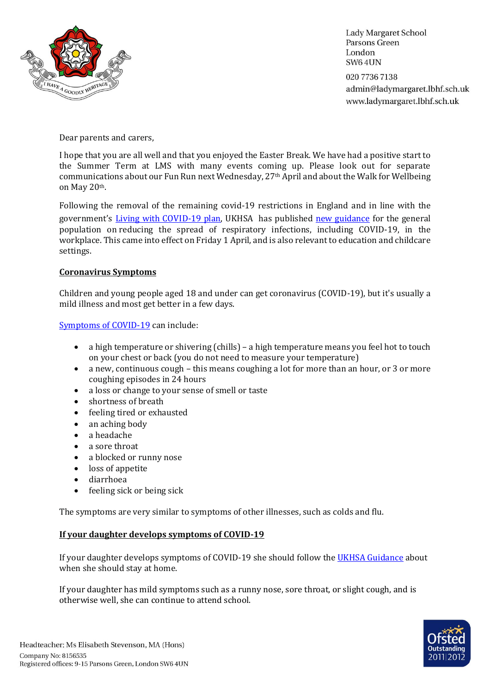

**Lady Margaret School** Parsons Green London **SW64UN** 020 7736 7138 admin@ladymargaret.lbhf.sch.uk www.ladymargaret.lbhf.sch.uk

Dear parents and carers,

I hope that you are all well and that you enjoyed the Easter Break. We have had a positive start to the Summer Term at LMS with many events coming up. Please look out for separate communications about our Fun Run next Wednesday, 27th April and about the Walk for Wellbeing on May 20th.

Following the removal of the remaining covid-19 restrictions in England and in line with the government's *Living with COVID-19 plan*, UKHSA has published [new guidance](https://www.gov.uk/guidance/living-safely-with-respiratory-infections-including-covid-19) for the general population on [reducing the spread of respiratory infections, including COVID-19, in the](https://www.gov.uk/guidance/reducing-the-spread-of-respiratory-infections-including-covid-19-in-the-workplace?utm_source=07%20April%202022%20C19&utm_medium=Daily%20Email%20C19&utm_campaign=DfE%20C19)  [workplace.](https://www.gov.uk/guidance/reducing-the-spread-of-respiratory-infections-including-covid-19-in-the-workplace?utm_source=07%20April%202022%20C19&utm_medium=Daily%20Email%20C19&utm_campaign=DfE%20C19) This came into effect on Friday 1 April, and is also relevant to education and childcare settings.

## **Coronavirus Symptoms**

Children and young people aged 18 and under can get coronavirus (COVID-19), but it's usually a mild illness and most get better in a few days.

[Symptoms of COVID-19](https://www.nhs.uk/conditions/coronavirus-covid-19/symptoms/coronavirus-in-children/?utm_source=07%20April%202022%20C19&utm_medium=Daily%20Email%20C19&utm_campaign=DfE%20C19) can include:

- a high temperature or shivering (chills) a high temperature means you feel hot to touch on your chest or back (you do not need to measure your temperature)
- a new, continuous cough this means coughing a lot for more than an hour, or 3 or more coughing episodes in 24 hours
- a loss or change to your sense of smell or taste
- shortness of breath
- feeling tired or exhausted
- an aching body
- a headache
- a sore throat
- a blocked or runny nose
- loss of appetite
- diarrhoea
- feeling sick or being sick

The symptoms are very similar to symptoms of other illnesses, such as colds and flu.

### **If your daughter develops symptoms of COVID-19**

If your daughter develops symptoms of COVID-19 she should follow the [UKHSA Guidance](https://www.gov.uk/guidance/people-with-symptoms-of-a-respiratory-infection-including-covid-19#children-and-young-people-aged-18-years-and-under-who-have-symptoms-of-a-respiratory-infection-including-covid-19) about when she should stay at home.

If your daughter has mild symptoms such as a runny nose, sore throat, or slight cough, and is otherwise well, she can continue to attend school.

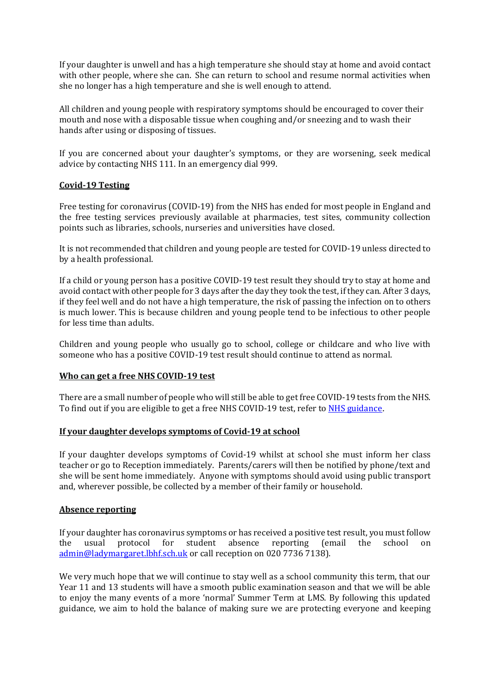If your daughter is unwell and has a high temperature she should stay at home and avoid contact with other people, where she can. She can return to school and resume normal activities when she no longer has a high temperature and she is well enough to attend.

All children and young people with respiratory symptoms should be encouraged to cover their mouth and nose with a disposable tissue when coughing and/or sneezing and to wash their hands after using or disposing of tissues.

If you are concerned about your daughter's symptoms, or they are worsening, seek medical advice by contacting NHS 111. In an emergency dial 999.

# **Covid-19 Testing**

Free testing for coronavirus (COVID-19) from the NHS has ended for most people in England and the free testing services previously available at pharmacies, test sites, community collection points such as libraries, schools, nurseries and universities have closed.

It is not recommended that children and young people are tested for COVID-19 unless directed to by a health professional.

If a child or young person has a positive COVID-19 test result they should try to stay at home and avoid contact with other people for 3 days after the day they took the test, if they can. After 3 days, if they feel well and do not have a high temperature, the risk of passing the infection on to others is much lower. This is because children and young people tend to be infectious to other people for less time than adults.

Children and young people who usually go to school, college or childcare and who live with someone who has a positive COVID-19 test result should continue to attend as normal.

# **Who can get a free NHS COVID-19 test**

There are a small number of people who will still be able to get free COVID-19 tests from the NHS. To find out if you are eligible to get a free NHS COVID-19 test, refer t[o NHS guidance](https://www.nhs.uk/conditions/coronavirus-covid-19/testing/get-tested-for-coronavirus/).

### **If your daughter develops symptoms of Covid-19 at school**

If your daughter develops symptoms of Covid-19 whilst at school she must inform her class teacher or go to Reception immediately. Parents/carers will then be notified by phone/text and she will be sent home immediately. Anyone with symptoms should avoid using public transport and, wherever possible, be collected by a member of their family or household.

### **Absence reporting**

If your daughter has coronavirus symptoms or has received a positive test result, you must follow the usual protocol for student absence reporting (email the school on [admin@ladymargaret.lbhf.sch.uk](mailto:admin@ladymargaret.lbhf.sch.uk) or call reception on 020 7736 7138).

We very much hope that we will continue to stay well as a school community this term, that our Year 11 and 13 students will have a smooth public examination season and that we will be able to enjoy the many events of a more 'normal' Summer Term at LMS. By following this updated guidance, we aim to hold the balance of making sure we are protecting everyone and keeping